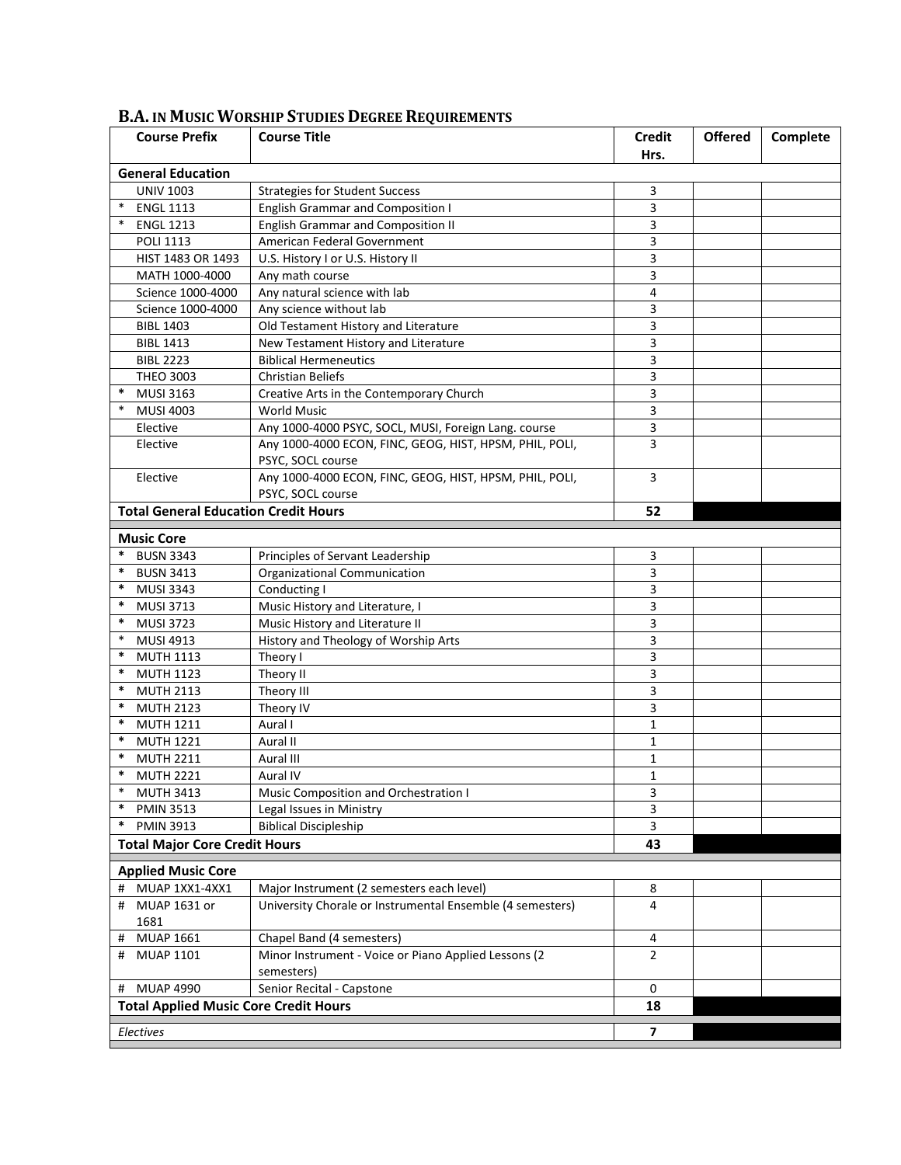| <b>Course Prefix</b>                           | <b>Course Title</b>                                                          | <b>Credit</b>  | <b>Offered</b> | Complete |
|------------------------------------------------|------------------------------------------------------------------------------|----------------|----------------|----------|
|                                                |                                                                              | Hrs.           |                |          |
| <b>General Education</b>                       |                                                                              |                |                |          |
| <b>UNIV 1003</b>                               | <b>Strategies for Student Success</b>                                        | 3              |                |          |
| $\ast$<br><b>ENGL 1113</b>                     | <b>English Grammar and Composition I</b>                                     | 3              |                |          |
| $\ast$<br><b>ENGL 1213</b>                     | <b>English Grammar and Composition II</b>                                    | 3              |                |          |
| <b>POLI 1113</b>                               | American Federal Government                                                  | 3              |                |          |
| HIST 1483 OR 1493                              | U.S. History I or U.S. History II                                            | 3              |                |          |
| MATH 1000-4000                                 | Any math course                                                              | 3              |                |          |
| Science 1000-4000                              | Any natural science with lab                                                 | 4              |                |          |
| Science 1000-4000                              | Any science without lab                                                      | 3              |                |          |
| <b>BIBL 1403</b>                               | Old Testament History and Literature                                         | 3              |                |          |
| <b>BIBL 1413</b>                               | New Testament History and Literature                                         | 3              |                |          |
| <b>BIBL 2223</b>                               | <b>Biblical Hermeneutics</b>                                                 | 3              |                |          |
| <b>THEO 3003</b>                               | <b>Christian Beliefs</b>                                                     | 3              |                |          |
| $\ast$<br><b>MUSI 3163</b>                     | Creative Arts in the Contemporary Church                                     | 3              |                |          |
| $\ast$<br><b>MUSI 4003</b>                     | <b>World Music</b>                                                           | 3              |                |          |
| Elective                                       | Any 1000-4000 PSYC, SOCL, MUSI, Foreign Lang. course                         | 3              |                |          |
| Elective                                       | Any 1000-4000 ECON, FINC, GEOG, HIST, HPSM, PHIL, POLI,<br>PSYC, SOCL course | 3              |                |          |
| Elective                                       | Any 1000-4000 ECON, FINC, GEOG, HIST, HPSM, PHIL, POLI,<br>PSYC, SOCL course | 3              |                |          |
| <b>Total General Education Credit Hours</b>    |                                                                              | 52             |                |          |
| <b>Music Core</b>                              |                                                                              |                |                |          |
| $\ast$<br><b>BUSN 3343</b>                     | Principles of Servant Leadership                                             | 3              |                |          |
| $\ast$<br><b>BUSN 3413</b>                     | Organizational Communication                                                 | 3              |                |          |
| $\ast$<br><b>MUSI 3343</b>                     | Conducting I                                                                 | 3              |                |          |
| $\ast$                                         |                                                                              |                |                |          |
| <b>MUSI 3713</b><br>*                          | Music History and Literature, I<br>Music History and Literature II           | 3<br>3         |                |          |
| <b>MUSI 3723</b><br>$\ast$<br><b>MUSI 4913</b> |                                                                              | 3              |                |          |
| $\ast$                                         | History and Theology of Worship Arts                                         |                |                |          |
| <b>MUTH 1113</b><br>$\ast$                     | Theory I                                                                     | 3<br>3         |                |          |
| <b>MUTH 1123</b><br>$\ast$                     | Theory II                                                                    |                |                |          |
| <b>MUTH 2113</b><br>$\ast$                     | Theory III                                                                   | 3              |                |          |
| <b>MUTH 2123</b><br>$\ast$                     | Theory IV                                                                    | 3              |                |          |
| <b>MUTH 1211</b><br>$\ast$                     | Aural I                                                                      | 1              |                |          |
| <b>MUTH 1221</b><br>$\ast$                     | Aural II                                                                     | $\mathbf{1}$   |                |          |
| <b>MUTH 2211</b><br>*                          | Aural III                                                                    | 1              |                |          |
| <b>MUTH 2221</b>                               | Aural IV                                                                     | 1              |                |          |
| <b>MUTH 3413</b><br>$\ast$                     | Music Composition and Orchestration I                                        | 3              |                |          |
| <b>PMIN 3513</b>                               | Legal Issues in Ministry                                                     | 3              |                |          |
| *<br><b>PMIN 3913</b>                          | <b>Biblical Discipleship</b>                                                 | 3              |                |          |
| <b>Total Major Core Credit Hours</b>           |                                                                              | 43             |                |          |
| <b>Applied Music Core</b>                      |                                                                              |                |                |          |
| MUAP 1XX1-4XX1<br>#                            | Major Instrument (2 semesters each level)                                    | 8              |                |          |
| MUAP 1631 or<br>#<br>1681                      | University Chorale or Instrumental Ensemble (4 semesters)                    | 4              |                |          |
| <b>MUAP 1661</b><br>#                          | Chapel Band (4 semesters)                                                    | 4              |                |          |
| <b>MUAP 1101</b><br>#                          | Minor Instrument - Voice or Piano Applied Lessons (2                         | $\overline{2}$ |                |          |
|                                                | semesters)                                                                   |                |                |          |
| <b>MUAP 4990</b><br>#                          | Senior Recital - Capstone                                                    | 0              |                |          |
| <b>Total Applied Music Core Credit Hours</b>   |                                                                              | 18             |                |          |
| Electives                                      |                                                                              | $\overline{ }$ |                |          |

## **B.A. IN MUSIC WORSHIP STUDIES DEGREE REQUIREMENTS**